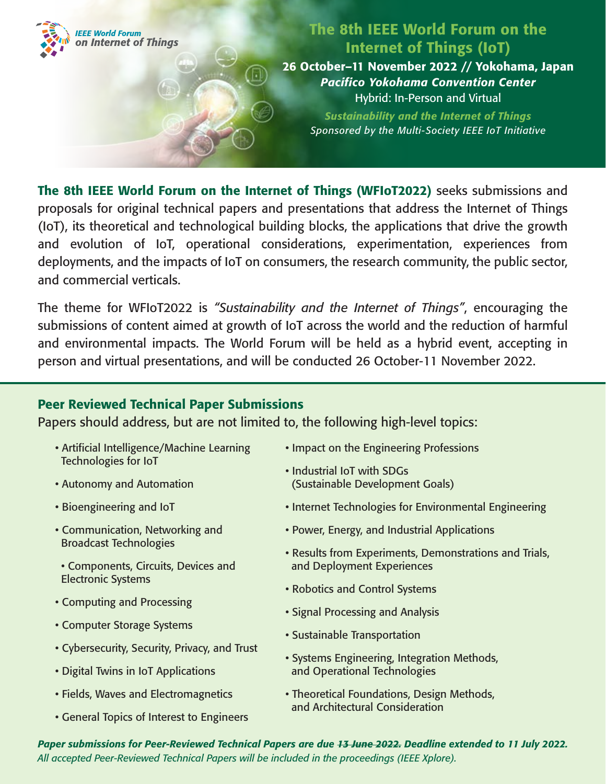

## The 8th IEEE World Forum on the Internet of Things (IoT)

26 October–11 November 2022 // Yokohama, Japan *Pacifico Yokohama Convention Center* Hybrid: In-Person and Virtual

*Sustainability and the Internet of Things Sponsored by the Multi-Society IEEE IoT Initiative*

The 8th IEEE World Forum on the Internet of Things (WFIoT2022) seeks submissions and proposals for original technical papers and presentations that address the Internet of Things (IoT), its theoretical and technological building blocks, the applications that drive the growth and evolution of IoT, operational considerations, experimentation, experiences from deployments, and the impacts of IoT on consumers, the research community, the public sector, and commercial verticals.

The theme for WFIoT2022 is *"Sustainability and the Internet of Things"*, encouraging the submissions of content aimed at growth of IoT across the world and the reduction of harmful and environmental impacts. The World Forum will be held as a hybrid event, accepting in person and virtual presentations, and will be conducted 26 October-11 November 2022.

## Peer Reviewed Technical Paper Submissions

Papers should address, but are not limited to, the following high-level topics:

 $\Box$ 

- Artificial Intelligence/Machine Learning Technologies for IoT
- Autonomy and Automation
- Bioengineering and IoT
- Communication, Networking and Broadcast Technologies
- Components, Circuits, Devices and Electronic Systems
- Computing and Processing
- Computer Storage Systems
- Cybersecurity, Security, Privacy, and Trust
- Digital Twins in IoT Applications
- Fields, Waves and Electromagnetics
- General Topics of Interest to Engineers
- Impact on the Engineering Professions
- Industrial IoT with SDGs (Sustainable Development Goals)
- Internet Technologies for Environmental Engineering
- Power, Energy, and Industrial Applications
- Results from Experiments, Demonstrations and Trials, and Deployment Experiences
- Robotics and Control Systems
- Signal Processing and Analysis
- Sustainable Transportation
- Systems Engineering, Integration Methods, and Operational Technologies
- Theoretical Foundations, Design Methods, and Architectural Consideration

*Paper submissions for Peer-Reviewed Technical Papers are due 13 June 2022. Deadline extended to 11 July 2022. All accepted Peer-Reviewed Technical Papers will be included in the proceedings (IEEE Xplore).*